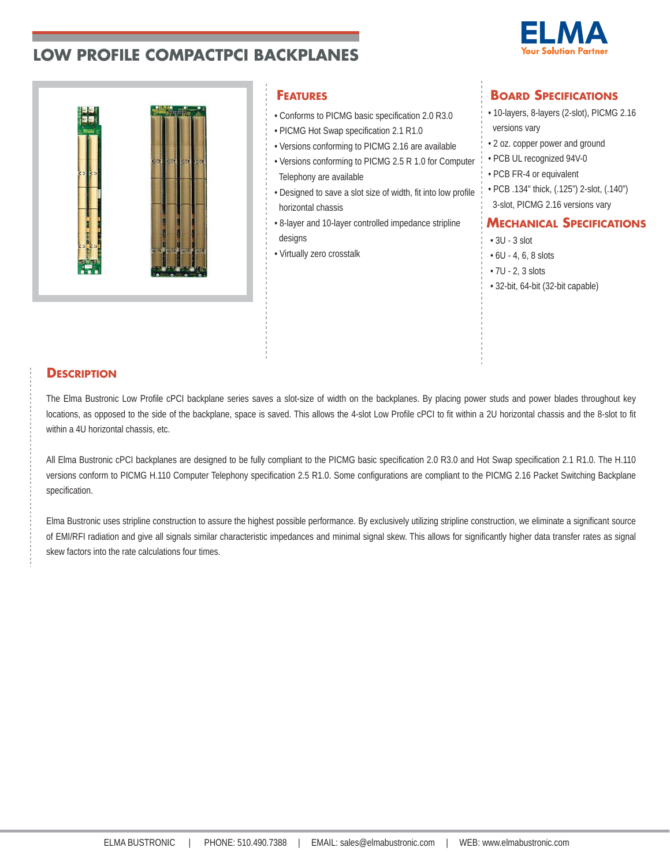



- Conforms to PICMG basic specification 2.0 R3.0
- PICMG Hot Swap specification 2.1 R1.0
- Versions conforming to PICMG 2.16 are available
- Versions conforming to PICMG 2.5 R 1.0 for Computer Telephony are available
- Designed to save a slot size of width, fit into low profile horizontal chassis
- 8-layer and 10-layer controlled impedance stripline designs
- Virtually zero crosstalk

## **FEATURES BOARD SPECIFICATIONS**

- 10-layers, 8-layers (2-slot), PICMG 2.16 versions vary
- 2 oz. copper power and ground
- PCB UL recognized 94V-0
- PCB FR-4 or equivalent
- PCB .134" thick, (.125") 2-slot, (.140")
- 3-slot, PICMG 2.16 versions vary

## **MECHANICAL SPECIFICATIONS**

- 3U 3 slot
- 6U 4, 6, 8 slots
- 7U 2, 3 slots
- 32-bit, 64-bit (32-bit capable)

## **DESCRIPTION**

The Elma Bustronic Low Profile cPCI backplane series saves a slot-size of width on the backplanes. By placing power studs and power blades throughout key locations, as opposed to the side of the backplane, space is saved. This allows the 4-slot Low Profile cPCI to fit within a 2U horizontal chassis and the 8-slot to fit within a 4U horizontal chassis, etc.

All Elma Bustronic cPCI backplanes are designed to be fully compliant to the PICMG basic specification 2.0 R3.0 and Hot Swap specification 2.1 R1.0. The H.110 versions conform to PICMG H.110 Computer Telephony specification 2.5 R1.0. Some configurations are compliant to the PICMG 2.16 Packet Switching Backplane specification.

Elma Bustronic uses stripline construction to assure the highest possible performance. By exclusively utilizing stripline construction, we eliminate a significant source of EMI/RFI radiation and give all signals similar characteristic impedances and minimal signal skew. This allows for significantly higher data transfer rates as signal skew factors into the rate calculations four times.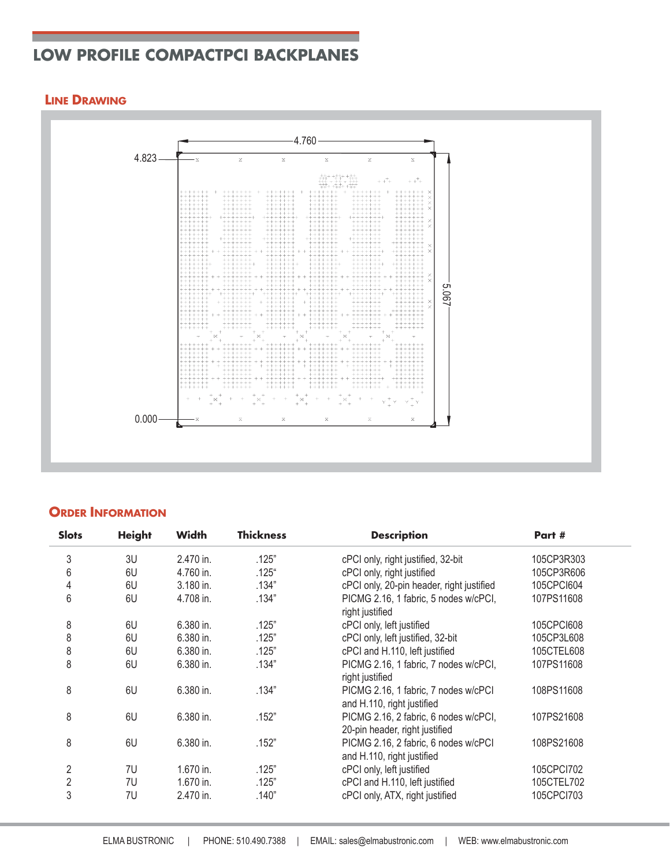### **LINE DRAWING**



## **ORDER INFORMATION**

| 5.067<br>$0.000 -$<br>$\mathbf x$<br>$\bar{\mathbf{x}}$<br>X<br><b>ORDER INFORMATION</b> |               |                        |                  |                                                                   |                          |  |
|------------------------------------------------------------------------------------------|---------------|------------------------|------------------|-------------------------------------------------------------------|--------------------------|--|
| <b>Slots</b>                                                                             | <b>Height</b> | <b>Width</b>           | <b>Thickness</b> | <b>Description</b>                                                | Part #                   |  |
| 3                                                                                        | 3U            | 2.470 in.              | .125"            | cPCI only, right justified, 32-bit                                | 105CP3R303               |  |
| 6                                                                                        | 6U            | 4.760 in.              | $.125$ "         | cPCI only, right justified                                        | 105CP3R606               |  |
| 4                                                                                        | 6U            | 3.180 in.              | .134"            | cPCI only, 20-pin header, right justified                         | 105CPCI604               |  |
| 6                                                                                        | 6U            | 4.708 in.              | .134"            | PICMG 2.16, 1 fabric, 5 nodes w/cPCI,<br>right justified          | 107PS11608               |  |
| 8                                                                                        | 6U            | 6.380 in.              | .125"            | cPCI only, left justified                                         | 105CPCI608               |  |
| 8                                                                                        | 6U            | 6.380 in.              | .125"            | cPCI only, left justified, 32-bit                                 | 105CP3L608               |  |
| 8                                                                                        | 6U            | 6.380 in.              | .125"            | cPCI and H.110, left justified                                    | 105CTEL608               |  |
| 8                                                                                        | 6U            | 6.380 in.              | .134"            | PICMG 2.16, 1 fabric, 7 nodes w/cPCI,                             | 107PS11608               |  |
|                                                                                          |               |                        |                  |                                                                   |                          |  |
|                                                                                          |               |                        |                  |                                                                   |                          |  |
|                                                                                          |               |                        |                  | right justified                                                   |                          |  |
| 8                                                                                        | 6U            | 6.380 in.              | .134"            | PICMG 2.16, 1 fabric, 7 nodes w/cPCI                              | 108PS11608               |  |
|                                                                                          |               |                        |                  | and H.110, right justified                                        |                          |  |
| 8                                                                                        | 6U            | 6.380 in.              | .152"            | PICMG 2.16, 2 fabric, 6 nodes w/cPCI,                             | 107PS21608               |  |
|                                                                                          |               |                        |                  | 20-pin header, right justified                                    |                          |  |
| 8                                                                                        | 6U            | 6.380 in.              | .152"            | PICMG 2.16, 2 fabric, 6 nodes w/cPCI                              | 108PS21608               |  |
|                                                                                          |               |                        |                  | and H.110, right justified                                        |                          |  |
| $\sqrt{2}$                                                                               | 7U            | 1.670 in.              | .125"            | cPCI only, left justified                                         | 105CPCI702               |  |
| $\sqrt{2}$<br>3                                                                          | 7U<br>7U      | 1.670 in.<br>2.470 in. | .125"<br>.140"   | cPCI and H.110, left justified<br>cPCI only, ATX, right justified | 105CTEL702<br>105CPCI703 |  |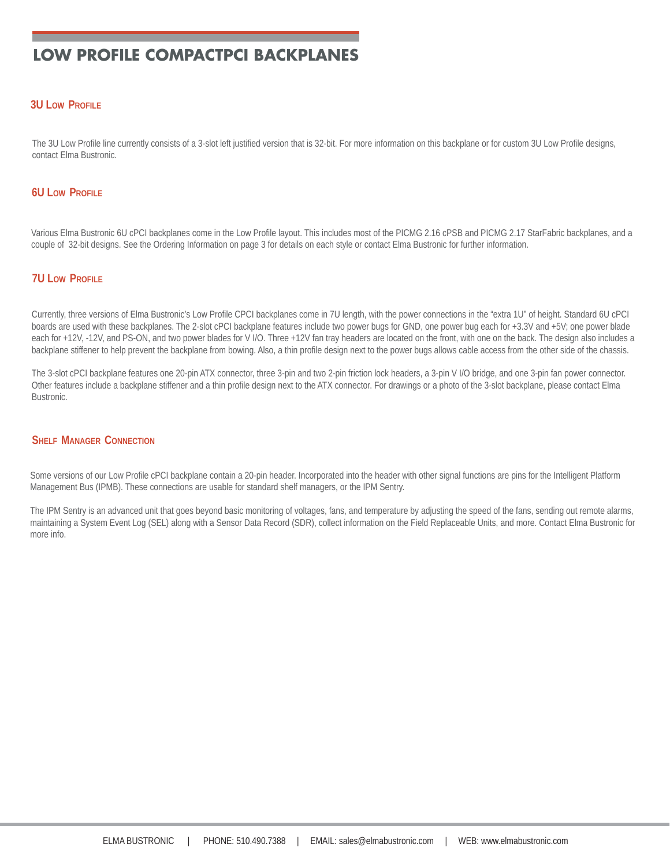#### **3U LOW PROFILE**

The 3U Low Profile line currently consists of a 3-slot left justified version that is 32-bit. For more information on this backplane or for custom 3U Low Profile designs, contact Elma Bustronic.

#### **6U LOW PROFILE**

Various Elma Bustronic 6U cPCI backplanes come in the Low Profile layout. This includes most of the PICMG 2.16 cPSB and PICMG 2.17 StarFabric backplanes, and a couple of 32-bit designs. See the Ordering Information on page 3 for details on each style or contact Elma Bustronic for further information.

#### **7U LOW PROFILE**

Currently, three versions of Elma Bustronic's Low Profile CPCI backplanes come in 7U length, with the power connections in the "extra 1U" of height. Standard 6U cPCI boards are used with these backplanes. The 2-slot cPCI backplane features include two power bugs for GND, one power bug each for +3.3V and +5V; one power blade each for +12V, -12V, and PS-ON, and two power blades for V I/O. Three +12V fan tray headers are located on the front, with one on the back. The design also includes a backplane stiffener to help prevent the backplane from bowing. Also, a thin profile design next to the power bugs allows cable access from the other side of the chassis.

The 3-slot cPCI backplane features one 20-pin ATX connector, three 3-pin and two 2-pin friction lock headers, a 3-pin V I/O bridge, and one 3-pin fan power connector. Other features include a backplane stiffener and a thin profile design next to the ATX connector. For drawings or a photo of the 3-slot backplane, please contact Elma Bustronic.

#### **SHELF MANAGER CONNECTION**

Some versions of our Low Profile cPCI backplane contain a 20-pin header. Incorporated into the header with other signal functions are pins for the Intelligent Platform Management Bus (IPMB). These connections are usable for standard shelf managers, or the IPM Sentry.

The IPM Sentry is an advanced unit that goes beyond basic monitoring of voltages, fans, and temperature by adjusting the speed of the fans, sending out remote alarms, maintaining a System Event Log (SEL) along with a Sensor Data Record (SDR), collect information on the Field Replaceable Units, and more. Contact Elma Bustronic for more info.